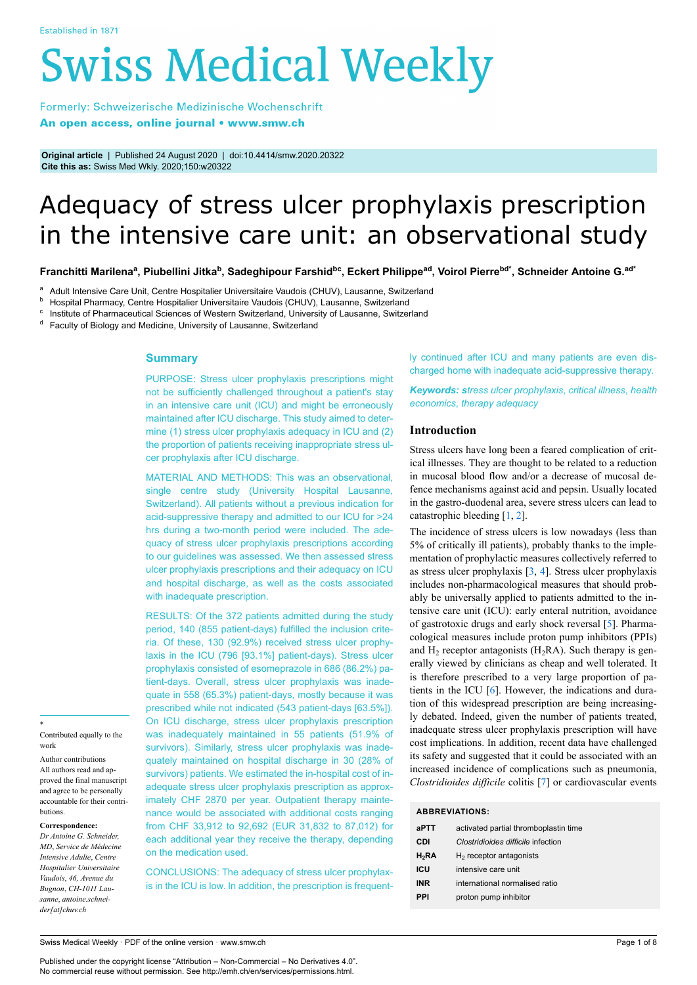# **Swiss Medical Weekly**

Formerly: Schweizerische Medizinische Wochenschrift An open access, online journal • www.smw.ch

**Original article** | Published 24 August 2020 | doi:10.4414/smw.2020.20322 **Cite this as:** Swiss Med Wkly. 2020;150:w20322

# Adequacy of stress ulcer prophylaxis prescription in the intensive care unit: an observational study

Franchitti Marilenaª, Piubellini Jitka<sup>b</sup>, Sadeghipour Farshid<sup>bc</sup>, Eckert Philippe<sup>ad</sup>, Voirol Pierre<sup>bd\*</sup>, Schneider Antoine G.<sup>ad\*</sup>

<sup>a</sup> Adult Intensive Care Unit, Centre Hospitalier Universitaire Vaudois (CHUV), Lausanne, Switzerland

b Hospital Pharmacy, Centre Hospitalier Universitaire Vaudois (CHUV), Lausanne, Switzerland

 $\textdegree$  Institute of Pharmaceutical Sciences of Western Switzerland, University of Lausanne, Switzerland

<sup>d</sup> Faculty of Biology and Medicine, University of Lausanne, Switzerland

## **Summary**

PURPOSE: Stress ulcer prophylaxis prescriptions might not be sufficiently challenged throughout a patient's stay in an intensive care unit (ICU) and might be erroneously maintained after ICU discharge. This study aimed to determine (1) stress ulcer prophylaxis adequacy in ICU and (2) the proportion of patients receiving inappropriate stress ulcer prophylaxis after ICU discharge.

MATERIAL AND METHODS: This was an observational, single centre study (University Hospital Lausanne, Switzerland). All patients without a previous indication for acid-suppressive therapy and admitted to our ICU for >24 hrs during a two-month period were included. The adequacy of stress ulcer prophylaxis prescriptions according to our guidelines was assessed. We then assessed stress ulcer prophylaxis prescriptions and their adequacy on ICU and hospital discharge, as well as the costs associated with inadequate prescription.

RESULTS: Of the 372 patients admitted during the study period, 140 (855 patient-days) fulfilled the inclusion criteria. Of these, 130 (92.9%) received stress ulcer prophylaxis in the ICU (796 [93.1%] patient-days). Stress ulcer prophylaxis consisted of esomeprazole in 686 (86.2%) patient-days. Overall, stress ulcer prophylaxis was inadequate in 558 (65.3%) patient-days, mostly because it was prescribed while not indicated (543 patient-days [63.5%]). On ICU discharge, stress ulcer prophylaxis prescription was inadequately maintained in 55 patients (51.9% of survivors). Similarly, stress ulcer prophylaxis was inadequately maintained on hospital discharge in 30 (28% of survivors) patients. We estimated the in-hospital cost of inadequate stress ulcer prophylaxis prescription as approximately CHF 2870 per year. Outpatient therapy maintenance would be associated with additional costs ranging from CHF 33,912 to 92,692 (EUR 31,832 to 87,012) for each additional year they receive the therapy, depending on the medication used.

CONCLUSIONS: The adequacy of stress ulcer prophylaxis in the ICU is low. In addition, the prescription is frequently continued after ICU and many patients are even discharged home with inadequate acid-suppressive therapy.

*Keywords: stress ulcer prophylaxis*, *critical illness*, *health economics*, *therapy adequacy*

# **Introduction**

Stress ulcers have long been a feared complication of critical illnesses. They are thought to be related to a reduction in mucosal blood flow and/or a decrease of mucosal defence mechanisms against acid and pepsin. Usually located in the gastro-duodenal area, severe stress ulcers can lead to catastrophic bleeding [[1,](#page-5-0) [2\]](#page-5-1).

The incidence of stress ulcers is low nowadays (less than 5% of critically ill patients), probably thanks to the implementation of prophylactic measures collectively referred to as stress ulcer prophylaxis [[3](#page-5-2), [4\]](#page-5-3). Stress ulcer prophylaxis includes non-pharmacological measures that should probably be universally applied to patients admitted to the intensive care unit (ICU): early enteral nutrition, avoidance of gastrotoxic drugs and early shock reversal [[5](#page-5-4)]. Pharmacological measures include proton pump inhibitors (PPIs) and  $H_2$  receptor antagonists ( $H_2RA$ ). Such therapy is generally viewed by clinicians as cheap and well tolerated. It is therefore prescribed to a very large proportion of patients in the ICU [[6](#page-5-5)]. However, the indications and duration of this widespread prescription are being increasingly debated. Indeed, given the number of patients treated, inadequate stress ulcer prophylaxis prescription will have cost implications. In addition, recent data have challenged its safety and suggested that it could be associated with an increased incidence of complications such as pneumonia, *Clostridioides difficile* colitis [\[7\]](#page-5-6) or cardiovascular events

# **ABBREVIATIONS:**

| aPTT     | activated partial thromboplastin time |
|----------|---------------------------------------|
| CDI      | Clostridioides difficile infection    |
| $H_2$ RA | $H2$ receptor antagonists             |
| ICU      | intensive care unit                   |
| INR      | international normalised ratio        |
| PPI      | proton pump inhibitor                 |

\* Contributed equally to the work

Author contributions All authors read and approved the final manuscript and agree to be personally accountable for their contributions.

#### **Correspondence:**

*Dr Antoine G. Schneider, MD*, *Service de Médecine Intensive Adulte*, *Centre Hospitalier Universitaire Vaudois*, *46, Avenue du Bugnon*, *CH-1011 Lausanne*, *antoine.schneider[at]chuv.ch*

Swiss Medical Weekly · PDF of the online version · www.smw.ch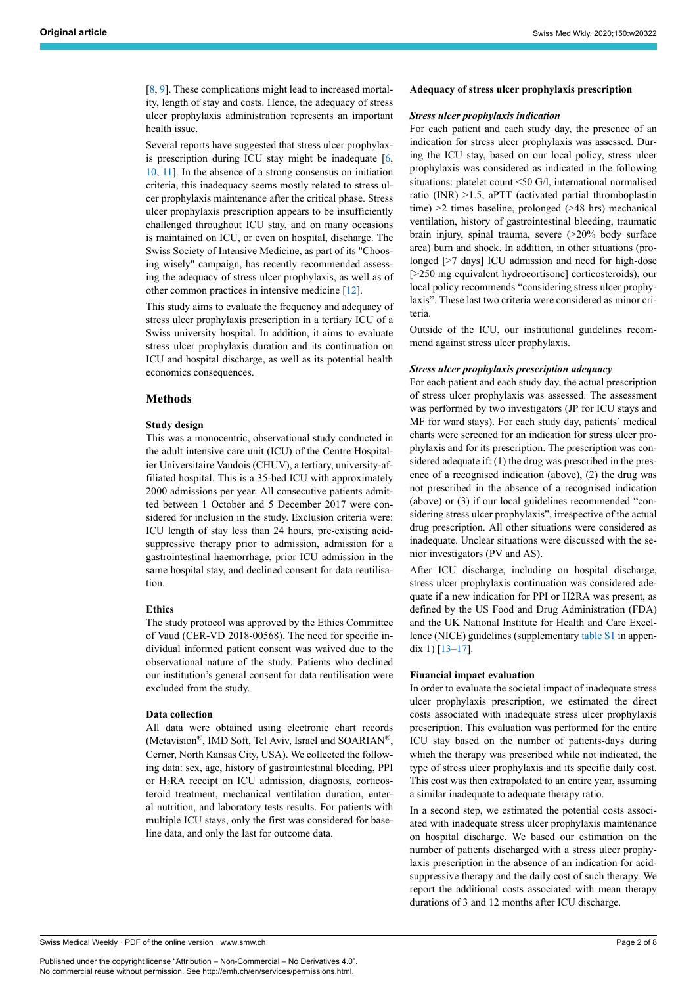[[8](#page-5-7), [9](#page-5-8)]. These complications might lead to increased mortality, length of stay and costs. Hence, the adequacy of stress ulcer prophylaxis administration represents an important health issue.

Several reports have suggested that stress ulcer prophylaxis prescription during ICU stay might be inadequate [\[6,](#page-5-5) [10,](#page-5-9) [11](#page-5-10)]. In the absence of a strong consensus on initiation criteria, this inadequacy seems mostly related to stress ulcer prophylaxis maintenance after the critical phase. Stress ulcer prophylaxis prescription appears to be insufficiently challenged throughout ICU stay, and on many occasions is maintained on ICU, or even on hospital, discharge. The Swiss Society of Intensive Medicine, as part of its "Choosing wisely" campaign, has recently recommended assessing the adequacy of stress ulcer prophylaxis, as well as of other common practices in intensive medicine [[12\]](#page-5-11).

This study aims to evaluate the frequency and adequacy of stress ulcer prophylaxis prescription in a tertiary ICU of a Swiss university hospital. In addition, it aims to evaluate stress ulcer prophylaxis duration and its continuation on ICU and hospital discharge, as well as its potential health economics consequences.

# **Methods**

#### **Study design**

This was a monocentric, observational study conducted in the adult intensive care unit (ICU) of the Centre Hospitalier Universitaire Vaudois (CHUV), a tertiary, university-affiliated hospital. This is a 35-bed ICU with approximately 2000 admissions per year. All consecutive patients admitted between 1 October and 5 December 2017 were considered for inclusion in the study. Exclusion criteria were: ICU length of stay less than 24 hours, pre-existing acidsuppressive therapy prior to admission, admission for a gastrointestinal haemorrhage, prior ICU admission in the same hospital stay, and declined consent for data reutilisation.

#### **Ethics**

The study protocol was approved by the Ethics Committee of Vaud (CER-VD 2018-00568). The need for specific individual informed patient consent was waived due to the observational nature of the study. Patients who declined our institution's general consent for data reutilisation were excluded from the study.

#### **Data collection**

All data were obtained using electronic chart records (Metavision®, IMD Soft, Tel Aviv, Israel and SOARIAN®, Cerner, North Kansas City, USA). We collected the following data: sex, age, history of gastrointestinal bleeding, PPI or H2RA receipt on ICU admission, diagnosis, corticosteroid treatment, mechanical ventilation duration, enteral nutrition, and laboratory tests results. For patients with multiple ICU stays, only the first was considered for baseline data, and only the last for outcome data.

#### **Adequacy of stress ulcer prophylaxis prescription**

#### *Stress ulcer prophylaxis indication*

For each patient and each study day, the presence of an indication for stress ulcer prophylaxis was assessed. During the ICU stay, based on our local policy, stress ulcer prophylaxis was considered as indicated in the following situations: platelet count <50 G/l, international normalised ratio (INR) >1.5, aPTT (activated partial thromboplastin time) >2 times baseline, prolonged (>48 hrs) mechanical ventilation, history of gastrointestinal bleeding, traumatic brain injury, spinal trauma, severe (>20% body surface area) burn and shock. In addition, in other situations (prolonged [>7 days] ICU admission and need for high-dose [>250 mg equivalent hydrocortisone] corticosteroids), our local policy recommends "considering stress ulcer prophylaxis". These last two criteria were considered as minor criteria.

Outside of the ICU, our institutional guidelines recommend against stress ulcer prophylaxis.

#### *Stress ulcer prophylaxis prescription adequacy*

For each patient and each study day, the actual prescription of stress ulcer prophylaxis was assessed. The assessment was performed by two investigators (JP for ICU stays and MF for ward stays). For each study day, patients' medical charts were screened for an indication for stress ulcer prophylaxis and for its prescription. The prescription was considered adequate if: (1) the drug was prescribed in the presence of a recognised indication (above), (2) the drug was not prescribed in the absence of a recognised indication (above) or (3) if our local guidelines recommended "considering stress ulcer prophylaxis", irrespective of the actual drug prescription. All other situations were considered as inadequate. Unclear situations were discussed with the senior investigators (PV and AS).

After ICU discharge, including on hospital discharge, stress ulcer prophylaxis continuation was considered adequate if a new indication for PPI or H2RA was present, as defined by the US Food and Drug Administration (FDA) and the UK National Institute for Health and Care Excellence (NICE) guidelines (supplementary table S1 in appendix 1) [[13–](#page-5-12)[17](#page-6-0)].

#### **Financial impact evaluation**

In order to evaluate the societal impact of inadequate stress ulcer prophylaxis prescription, we estimated the direct costs associated with inadequate stress ulcer prophylaxis prescription. This evaluation was performed for the entire ICU stay based on the number of patients-days during which the therapy was prescribed while not indicated, the type of stress ulcer prophylaxis and its specific daily cost. This cost was then extrapolated to an entire year, assuming a similar inadequate to adequate therapy ratio.

In a second step, we estimated the potential costs associated with inadequate stress ulcer prophylaxis maintenance on hospital discharge. We based our estimation on the number of patients discharged with a stress ulcer prophylaxis prescription in the absence of an indication for acidsuppressive therapy and the daily cost of such therapy. We report the additional costs associated with mean therapy durations of 3 and 12 months after ICU discharge.

Swiss Medical Weekly · PDF of the online version · www.smw.ch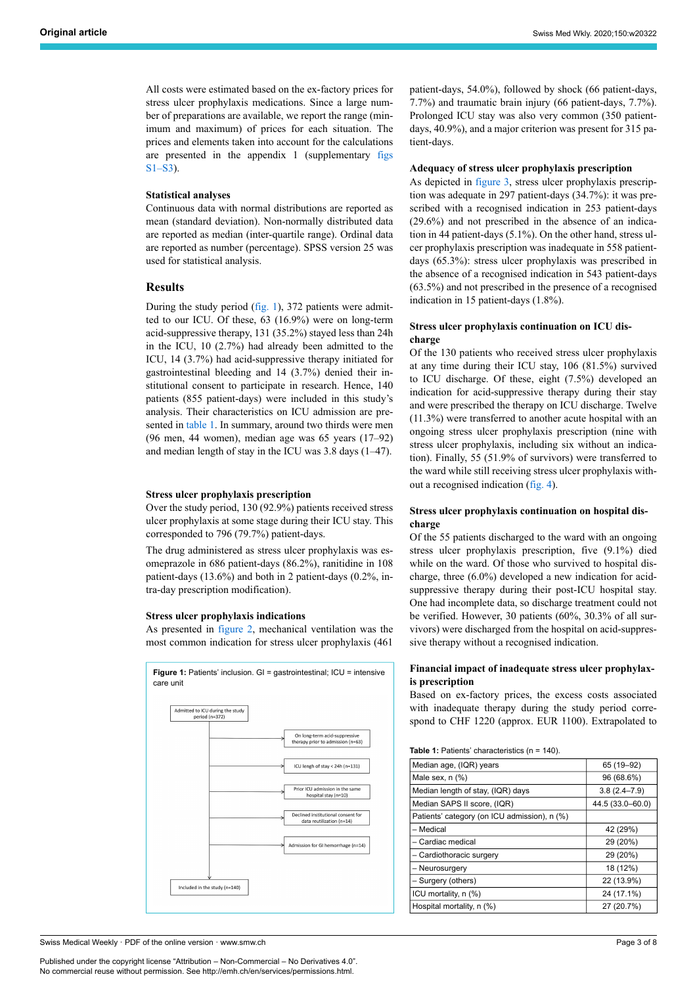All costs were estimated based on the ex-factory prices for stress ulcer prophylaxis medications. Since a large number of preparations are available, we report the range (minimum and maximum) of prices for each situation. The prices and elements taken into account for the calculations are presented in the appendix 1 (supplementary figs S1–S3).

# **Statistical analyses**

Continuous data with normal distributions are reported as mean (standard deviation). Non-normally distributed data are reported as median (inter-quartile range). Ordinal data are reported as number (percentage). SPSS version 25 was used for statistical analysis.

# **Results**

During the study period ([fig. 1](#page-2-0)), 372 patients were admitted to our ICU. Of these, 63 (16.9%) were on long-term acid-suppressive therapy, 131 (35.2%) stayed less than 24h in the ICU, 10 (2.7%) had already been admitted to the ICU, 14 (3.7%) had acid-suppressive therapy initiated for gastrointestinal bleeding and 14 (3.7%) denied their institutional consent to participate in research. Hence, 140 patients (855 patient-days) were included in this study's analysis. Their characteristics on ICU admission are presented in [table 1](#page-2-1). In summary, around two thirds were men (96 men, 44 women), median age was 65 years (17–92) and median length of stay in the ICU was 3.8 days (1–47).

#### **Stress ulcer prophylaxis prescription**

Over the study period, 130 (92.9%) patients received stress ulcer prophylaxis at some stage during their ICU stay. This corresponded to 796 (79.7%) patient-days.

The drug administered as stress ulcer prophylaxis was esomeprazole in 686 patient-days (86.2%), ranitidine in 108 patient-days (13.6%) and both in 2 patient-days (0.2%, intra-day prescription modification).

#### **Stress ulcer prophylaxis indications**

As presented in [figure 2,](#page-3-0) mechanical ventilation was the most common indication for stress ulcer prophylaxis (461

<span id="page-2-1"></span><span id="page-2-0"></span>

patient-days, 54.0%), followed by shock (66 patient-days, 7.7%) and traumatic brain injury (66 patient-days, 7.7%). Prolonged ICU stay was also very common (350 patientdays, 40.9%), and a major criterion was present for 315 patient-days.

#### **Adequacy of stress ulcer prophylaxis prescription**

As depicted in [figure 3](#page-3-1), stress ulcer prophylaxis prescription was adequate in 297 patient-days (34.7%): it was prescribed with a recognised indication in 253 patient-days (29.6%) and not prescribed in the absence of an indication in 44 patient-days (5.1%). On the other hand, stress ulcer prophylaxis prescription was inadequate in 558 patientdays (65.3%): stress ulcer prophylaxis was prescribed in the absence of a recognised indication in 543 patient-days (63.5%) and not prescribed in the presence of a recognised indication in 15 patient-days (1.8%).

# **Stress ulcer prophylaxis continuation on ICU discharge**

Of the 130 patients who received stress ulcer prophylaxis at any time during their ICU stay, 106 (81.5%) survived to ICU discharge. Of these, eight (7.5%) developed an indication for acid-suppressive therapy during their stay and were prescribed the therapy on ICU discharge. Twelve (11.3%) were transferred to another acute hospital with an ongoing stress ulcer prophylaxis prescription (nine with stress ulcer prophylaxis, including six without an indication). Finally, 55 (51.9% of survivors) were transferred to the ward while still receiving stress ulcer prophylaxis without a recognised indication ([fig. 4\)](#page-4-0).

# **Stress ulcer prophylaxis continuation on hospital discharge**

Of the 55 patients discharged to the ward with an ongoing stress ulcer prophylaxis prescription, five (9.1%) died while on the ward. Of those who survived to hospital discharge, three (6.0%) developed a new indication for acidsuppressive therapy during their post-ICU hospital stay. One had incomplete data, so discharge treatment could not be verified. However, 30 patients (60%, 30.3% of all survivors) were discharged from the hospital on acid-suppressive therapy without a recognised indication.

# **Financial impact of inadequate stress ulcer prophylaxis prescription**

Based on ex-factory prices, the excess costs associated with inadequate therapy during the study period correspond to CHF 1220 (approx. EUR 1100). Extrapolated to

**Table 1:** Patients' characteristics (n = 140).

| Median age, (IQR) years                      | 65 (19 - 92)     |
|----------------------------------------------|------------------|
| Male sex, $n$ $%$                            | 96 (68.6%)       |
| Median length of stay, (IQR) days            | $3.8(2.4 - 7.9)$ |
| Median SAPS II score, (IQR)                  | 44.5 (33.0–60.0) |
| Patients' category (on ICU admission), n (%) |                  |
| – Medical                                    | 42 (29%)         |
| – Cardiac medical                            | 29 (20%)         |
| - Cardiothoracic surgery                     | 29 (20%)         |
| - Neurosurgery                               | 18 (12%)         |
| – Surgery (others)                           | 22 (13.9%)       |
| ICU mortality, n (%)                         | 24 (17.1%)       |
| Hospital mortality, n (%)                    | 27 (20.7%)       |
|                                              |                  |

Swiss Medical Weekly · PDF of the online version · www.smw.ch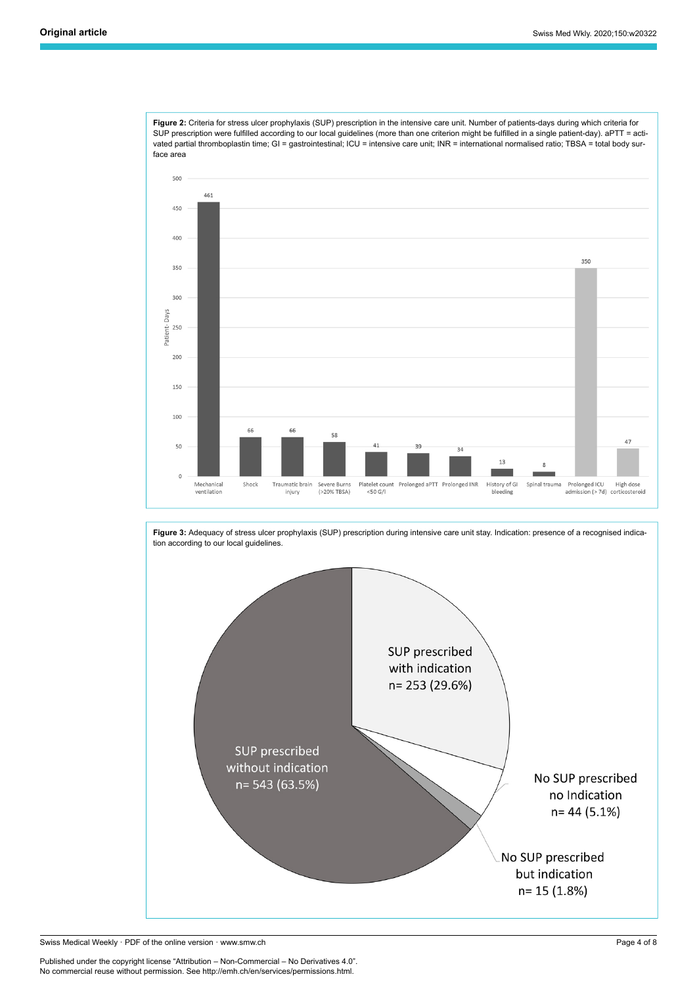<span id="page-3-0"></span>**Figure 2:** Criteria for stress ulcer prophylaxis (SUP) prescription in the intensive care unit. Number of patients-days during which criteria for SUP prescription were fulfilled according to our local guidelines (more than one criterion might be fulfilled in a single patient-day). aPTT = activated partial thromboplastin time; GI = gastrointestinal; ICU = intensive care unit; INR = international normalised ratio; TBSA = total body surface area



<span id="page-3-1"></span>**Figure 3:** Adequacy of stress ulcer prophylaxis (SUP) prescription during intensive care unit stay. Indication: presence of a recognised indication according to our local guidelines. SUP prescribed with indication n= 253 (29.6%) SUP prescribed without indication No SUP prescribed n= 543 (63.5%) no Indication  $n = 44(5.1%)$ No SUP prescribed but indication n= 15 (1.8%)

Swiss Medical Weekly · PDF of the online version · www.smw.ch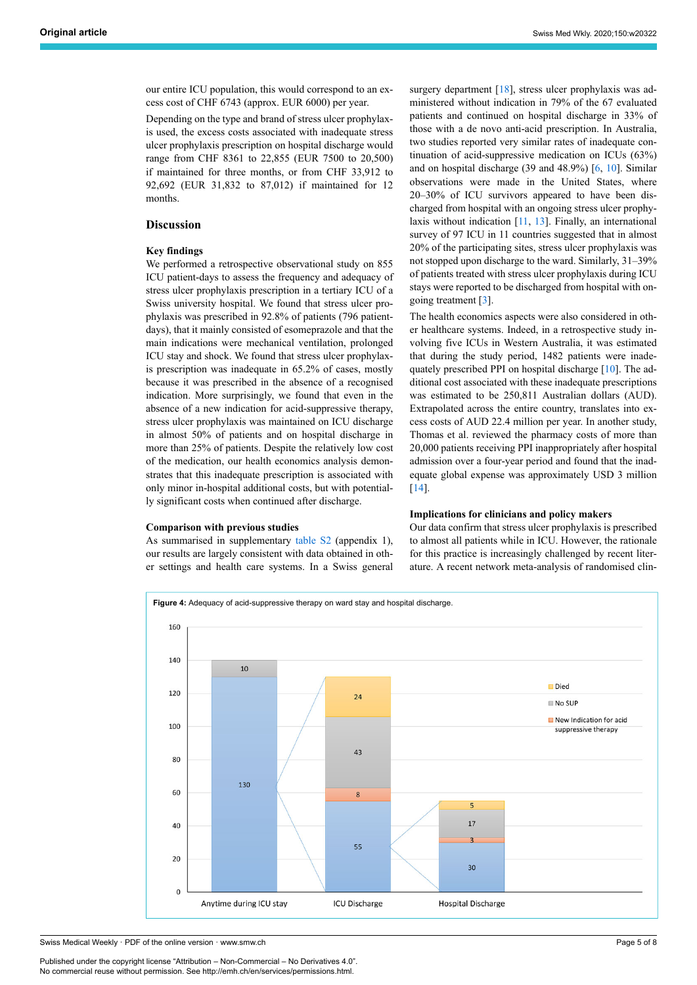our entire ICU population, this would correspond to an excess cost of CHF 6743 (approx. EUR 6000) per year.

Depending on the type and brand of stress ulcer prophylaxis used, the excess costs associated with inadequate stress ulcer prophylaxis prescription on hospital discharge would range from CHF 8361 to 22,855 (EUR 7500 to 20,500) if maintained for three months, or from CHF 33,912 to 92,692 (EUR 31,832 to 87,012) if maintained for 12 months.

# **Discussion**

## **Key findings**

We performed a retrospective observational study on 855 ICU patient-days to assess the frequency and adequacy of stress ulcer prophylaxis prescription in a tertiary ICU of a Swiss university hospital. We found that stress ulcer prophylaxis was prescribed in 92.8% of patients (796 patientdays), that it mainly consisted of esomeprazole and that the main indications were mechanical ventilation, prolonged ICU stay and shock. We found that stress ulcer prophylaxis prescription was inadequate in 65.2% of cases, mostly because it was prescribed in the absence of a recognised indication. More surprisingly, we found that even in the absence of a new indication for acid-suppressive therapy, stress ulcer prophylaxis was maintained on ICU discharge in almost 50% of patients and on hospital discharge in more than 25% of patients. Despite the relatively low cost of the medication, our health economics analysis demonstrates that this inadequate prescription is associated with only minor in-hospital additional costs, but with potentially significant costs when continued after discharge.

#### **Comparison with previous studies**

As summarised in supplementary table S2 (appendix 1), our results are largely consistent with data obtained in other settings and health care systems. In a Swiss general surgery department [\[18](#page-6-1)], stress ulcer prophylaxis was administered without indication in 79% of the 67 evaluated patients and continued on hospital discharge in 33% of those with a de novo anti-acid prescription. In Australia, two studies reported very similar rates of inadequate continuation of acid-suppressive medication on ICUs (63%) and on hospital discharge (39 and 48.9%) [\[6,](#page-5-5) [10\]](#page-5-9). Similar observations were made in the United States, where 20–30% of ICU survivors appeared to have been discharged from hospital with an ongoing stress ulcer prophylaxis without indication [[11](#page-5-10), [13\]](#page-5-12). Finally, an international survey of 97 ICU in 11 countries suggested that in almost 20% of the participating sites, stress ulcer prophylaxis was not stopped upon discharge to the ward. Similarly, 31–39% of patients treated with stress ulcer prophylaxis during ICU stays were reported to be discharged from hospital with ongoing treatment [[3\]](#page-5-2).

The health economics aspects were also considered in other healthcare systems. Indeed, in a retrospective study involving five ICUs in Western Australia, it was estimated that during the study period, 1482 patients were inadequately prescribed PPI on hospital discharge [[10\]](#page-5-9). The additional cost associated with these inadequate prescriptions was estimated to be 250,811 Australian dollars (AUD). Extrapolated across the entire country, translates into excess costs of AUD 22.4 million per year. In another study, Thomas et al. reviewed the pharmacy costs of more than 20,000 patients receiving PPI inappropriately after hospital admission over a four-year period and found that the inadequate global expense was approximately USD 3 million [\[14](#page-6-2)].

#### **Implications for clinicians and policy makers**

Our data confirm that stress ulcer prophylaxis is prescribed to almost all patients while in ICU. However, the rationale for this practice is increasingly challenged by recent literature. A recent network meta-analysis of randomised clin-

<span id="page-4-0"></span>

Swiss Medical Weekly · PDF of the online version · www.smw.ch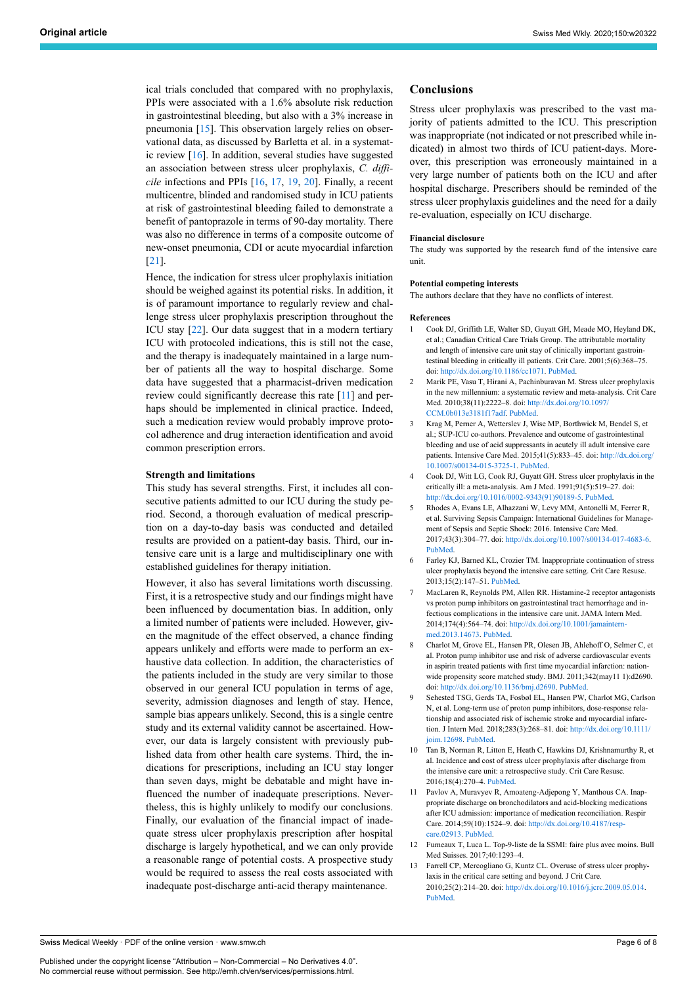ical trials concluded that compared with no prophylaxis, PPIs were associated with a 1.6% absolute risk reduction in gastrointestinal bleeding, but also with a 3% increase in pneumonia [[15\]](#page-6-3). This observation largely relies on observational data, as discussed by Barletta et al. in a systematic review [[16\]](#page-6-4). In addition, several studies have suggested an association between stress ulcer prophylaxis, *C. difficile* infections and PPIs [\[16](#page-6-4), [17](#page-6-0), [19,](#page-6-5) [20\]](#page-6-3). Finally, a recent multicentre, blinded and randomised study in ICU patients at risk of gastrointestinal bleeding failed to demonstrate a benefit of pantoprazole in terms of 90-day mortality. There was also no difference in terms of a composite outcome of new-onset pneumonia, CDI or acute myocardial infarction [[21\]](#page-6-4).

<span id="page-5-0"></span>Hence, the indication for stress ulcer prophylaxis initiation should be weighed against its potential risks. In addition, it is of paramount importance to regularly review and challenge stress ulcer prophylaxis prescription throughout the ICU stay [[22\]](#page-6-6). Our data suggest that in a modern tertiary ICU with protocoled indications, this is still not the case, and the therapy is inadequately maintained in a large number of patients all the way to hospital discharge. Some data have suggested that a pharmacist-driven medication review could significantly decrease this rate [\[11\]](#page-5-10) and perhaps should be implemented in clinical practice. Indeed, such a medication review would probably improve protocol adherence and drug interaction identification and avoid common prescription errors.

#### <span id="page-5-2"></span><span id="page-5-1"></span>**Strength and limitations**

<span id="page-5-4"></span><span id="page-5-3"></span>This study has several strengths. First, it includes all consecutive patients admitted to our ICU during the study period. Second, a thorough evaluation of medical prescription on a day-to-day basis was conducted and detailed results are provided on a patient-day basis. Third, our intensive care unit is a large and multidisciplinary one with established guidelines for therapy initiation.

<span id="page-5-8"></span><span id="page-5-7"></span><span id="page-5-6"></span><span id="page-5-5"></span>However, it also has several limitations worth discussing. First, it is a retrospective study and our findings might have been influenced by documentation bias. In addition, only a limited number of patients were included. However, given the magnitude of the effect observed, a chance finding appears unlikely and efforts were made to perform an exhaustive data collection. In addition, the characteristics of the patients included in the study are very similar to those observed in our general ICU population in terms of age, severity, admission diagnoses and length of stay. Hence, sample bias appears unlikely. Second, this is a single centre study and its external validity cannot be ascertained. However, our data is largely consistent with previously published data from other health care systems. Third, the indications for prescriptions, including an ICU stay longer than seven days, might be debatable and might have influenced the number of inadequate prescriptions. Nevertheless, this is highly unlikely to modify our conclusions. Finally, our evaluation of the financial impact of inadequate stress ulcer prophylaxis prescription after hospital discharge is largely hypothetical, and we can only provide a reasonable range of potential costs. A prospective study would be required to assess the real costs associated with inadequate post-discharge anti-acid therapy maintenance.

# **Conclusions**

Stress ulcer prophylaxis was prescribed to the vast majority of patients admitted to the ICU. This prescription was inappropriate (not indicated or not prescribed while indicated) in almost two thirds of ICU patient-days. Moreover, this prescription was erroneously maintained in a very large number of patients both on the ICU and after hospital discharge. Prescribers should be reminded of the stress ulcer prophylaxis guidelines and the need for a daily re-evaluation, especially on ICU discharge.

#### **Financial disclosure**

The study was supported by the research fund of the intensive care unit.

#### **Potential competing interests**

The authors declare that they have no conflicts of interest.

#### **References**

- 1 Cook DJ, Griffith LE, Walter SD, Guyatt GH, Meade MO, Heyland DK, et al.; Canadian Critical Care Trials Group. The attributable mortality and length of intensive care unit stay of clinically important gastrointestinal bleeding in critically ill patients. Crit Care. 2001;5(6):368–75. doi: <http://dx.doi.org/10.1186/cc1071>. [PubMed](http://www.ncbi.nlm.nih.gov/entrez/query.fcgi?cmd=Retrieve&db=PubMed&list_uids=11737927&dopt=Abstract).
- 2 Marik PE, Vasu T, Hirani A, Pachinburavan M. Stress ulcer prophylaxis in the new millennium: a systematic review and meta-analysis. Crit Care Med. 2010;38(11):2222–8. doi: [http://dx.doi.org/10.1097/](http://dx.doi.org/10.1097/CCM.0b013e3181f17adf) [CCM.0b013e3181f17adf.](http://dx.doi.org/10.1097/CCM.0b013e3181f17adf) [PubMed](http://www.ncbi.nlm.nih.gov/entrez/query.fcgi?cmd=Retrieve&db=PubMed&list_uids=20711074&dopt=Abstract).
- 3 Krag M, Perner A, Wetterslev J, Wise MP, Borthwick M, Bendel S, et al.; SUP-ICU co-authors. Prevalence and outcome of gastrointestinal bleeding and use of acid suppressants in acutely ill adult intensive care patients. Intensive Care Med. 2015;41(5):833–45. doi: [http://dx.doi.org/](http://dx.doi.org/10.1007/s00134-015-3725-1) [10.1007/s00134-015-3725-1](http://dx.doi.org/10.1007/s00134-015-3725-1). [PubMed.](http://www.ncbi.nlm.nih.gov/entrez/query.fcgi?cmd=Retrieve&db=PubMed&list_uids=25860444&dopt=Abstract)
- 4 Cook DJ, Witt LG, Cook RJ, Guyatt GH. Stress ulcer prophylaxis in the critically ill: a meta-analysis. Am J Med. 1991;91(5):519–27. doi: [http://dx.doi.org/10.1016/0002-9343\(91\)90189-5.](http://dx.doi.org/10.1016/0002-9343(91)90189-5) [PubMed.](http://www.ncbi.nlm.nih.gov/entrez/query.fcgi?cmd=Retrieve&db=PubMed&list_uids=1835294&dopt=Abstract)
- 5 Rhodes A, Evans LE, Alhazzani W, Levy MM, Antonelli M, Ferrer R, et al. Surviving Sepsis Campaign: International Guidelines for Management of Sepsis and Septic Shock: 2016. Intensive Care Med. 2017;43(3):304–77. doi: [http://dx.doi.org/10.1007/s00134-017-4683-6.](http://dx.doi.org/10.1007/s00134-017-4683-6) [PubMed](http://www.ncbi.nlm.nih.gov/entrez/query.fcgi?cmd=Retrieve&db=PubMed&list_uids=28101605&dopt=Abstract).
- 6 Farley KJ, Barned KL, Crozier TM. Inappropriate continuation of stress ulcer prophylaxis beyond the intensive care setting. Crit Care Resusc. 2013;15(2):147–51. [PubMed.](http://www.ncbi.nlm.nih.gov/entrez/query.fcgi?cmd=Retrieve&db=PubMed&list_uids=23961576&dopt=Abstract)
- 7 MacLaren R, Reynolds PM, Allen RR. Histamine-2 receptor antagonists vs proton pump inhibitors on gastrointestinal tract hemorrhage and infectious complications in the intensive care unit. JAMA Intern Med. 2014;174(4):564–74. doi: [http://dx.doi.org/10.1001/jamaintern](http://dx.doi.org/10.1001/jamainternmed.2013.14673)[med.2013.14673.](http://dx.doi.org/10.1001/jamainternmed.2013.14673) [PubMed.](http://www.ncbi.nlm.nih.gov/entrez/query.fcgi?cmd=Retrieve&db=PubMed&list_uids=24535015&dopt=Abstract)
- 8 Charlot M, Grove EL, Hansen PR, Olesen JB, Ahlehoff O, Selmer C, et al. Proton pump inhibitor use and risk of adverse cardiovascular events in aspirin treated patients with first time myocardial infarction: nationwide propensity score matched study. BMJ. 2011;342(may11 1):d2690. doi: [http://dx.doi.org/10.1136/bmj.d2690.](http://dx.doi.org/10.1136/bmj.d2690) [PubMed.](http://www.ncbi.nlm.nih.gov/entrez/query.fcgi?cmd=Retrieve&db=PubMed&list_uids=21562004&dopt=Abstract)
- 9 Sehested TSG, Gerds TA, Fosbøl EL, Hansen PW, Charlot MG, Carlson N, et al. Long-term use of proton pump inhibitors, dose-response relationship and associated risk of ischemic stroke and myocardial infarction. J Intern Med. 2018;283(3):268–81. doi: [http://dx.doi.org/10.1111/](http://dx.doi.org/10.1111/joim.12698) [joim.12698](http://dx.doi.org/10.1111/joim.12698). [PubMed](http://www.ncbi.nlm.nih.gov/entrez/query.fcgi?cmd=Retrieve&db=PubMed&list_uids=29024109&dopt=Abstract).
- 10 Tan B, Norman R, Litton E, Heath C, Hawkins DJ, Krishnamurthy R, et al. Incidence and cost of stress ulcer prophylaxis after discharge from the intensive care unit: a retrospective study. Crit Care Resusc. 2016;18(4):270–4. [PubMed](http://www.ncbi.nlm.nih.gov/entrez/query.fcgi?cmd=Retrieve&db=PubMed&list_uids=27903209&dopt=Abstract).
- 11 Pavlov A, Muravyev R, Amoateng-Adjepong Y, Manthous CA. Inappropriate discharge on bronchodilators and acid-blocking medications after ICU admission: importance of medication reconciliation. Respir Care. 2014;59(10):1524–9. doi: [http://dx.doi.org/10.4187/resp](http://dx.doi.org/10.4187/respcare.02913)[care.02913](http://dx.doi.org/10.4187/respcare.02913). [PubMed](http://www.ncbi.nlm.nih.gov/entrez/query.fcgi?cmd=Retrieve&db=PubMed&list_uids=24847095&dopt=Abstract).
- 12 Fumeaux T, Luca L. Top-9-liste de la SSMI: faire plus avec moins. Bull Med Suisses. 2017;40:1293–4.
- 13 Farrell CP, Mercogliano G, Kuntz CL. Overuse of stress ulcer prophylaxis in the critical care setting and beyond. J Crit Care. 2010;25(2):214–20. doi: <http://dx.doi.org/10.1016/j.jcrc.2009.05.014>. [PubMed](http://www.ncbi.nlm.nih.gov/entrez/query.fcgi?cmd=Retrieve&db=PubMed&list_uids=19683892&dopt=Abstract).

<span id="page-5-12"></span><span id="page-5-11"></span><span id="page-5-10"></span><span id="page-5-9"></span>Swiss Medical Weekly · PDF of the online version · www.smw.ch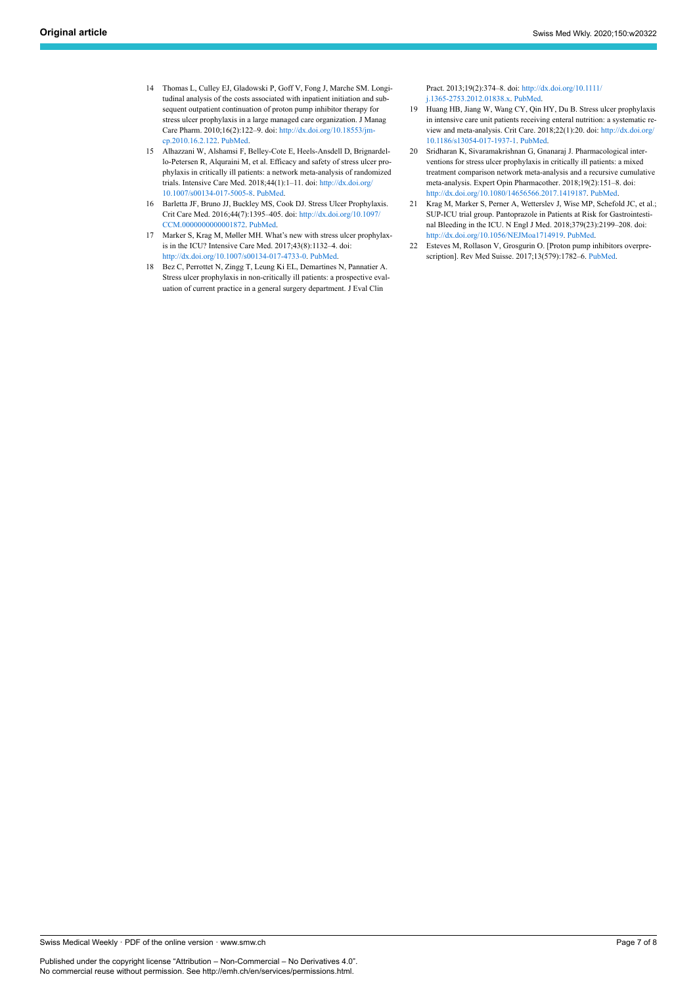- <span id="page-6-5"></span><span id="page-6-2"></span>14 Thomas L, Culley EJ, Gladowski P, Goff V, Fong J, Marche SM. Longitudinal analysis of the costs associated with inpatient initiation and subsequent outpatient continuation of proton pump inhibitor therapy for stress ulcer prophylaxis in a large managed care organization. J Manag Care Pharm. 2010;16(2):122–9. doi: [http://dx.doi.org/10.18553/jm](http://dx.doi.org/10.18553/jmcp.2010.16.2.122)[cp.2010.16.2.122.](http://dx.doi.org/10.18553/jmcp.2010.16.2.122) [PubMed](http://www.ncbi.nlm.nih.gov/entrez/query.fcgi?cmd=Retrieve&db=PubMed&list_uids=20178397&dopt=Abstract).
- <span id="page-6-3"></span>15 Alhazzani W, Alshamsi F, Belley-Cote E, Heels-Ansdell D, Brignardello-Petersen R, Alquraini M, et al. Efficacy and safety of stress ulcer prophylaxis in critically ill patients: a network meta-analysis of randomized trials. Intensive Care Med. 2018;44(1):1–11. doi: [http://dx.doi.org/](http://dx.doi.org/10.1007/s00134-017-5005-8) [10.1007/s00134-017-5005-8.](http://dx.doi.org/10.1007/s00134-017-5005-8) [PubMed](http://www.ncbi.nlm.nih.gov/entrez/query.fcgi?cmd=Retrieve&db=PubMed&list_uids=29199388&dopt=Abstract).
- <span id="page-6-4"></span>16 Barletta JF, Bruno JJ, Buckley MS, Cook DJ. Stress Ulcer Prophylaxis. Crit Care Med. 2016;44(7):1395–405. doi: [http://dx.doi.org/10.1097/](http://dx.doi.org/10.1097/CCM.0000000000001872) [CCM.0000000000001872.](http://dx.doi.org/10.1097/CCM.0000000000001872) [PubMed.](http://www.ncbi.nlm.nih.gov/entrez/query.fcgi?cmd=Retrieve&db=PubMed&list_uids=27163192&dopt=Abstract)
- <span id="page-6-6"></span><span id="page-6-0"></span>17 Marker S, Krag M, Møller MH. What's new with stress ulcer prophylaxis in the ICU? Intensive Care Med. 2017;43(8):1132–4. doi: [http://dx.doi.org/10.1007/s00134-017-4733-0.](http://dx.doi.org/10.1007/s00134-017-4733-0) [PubMed.](http://www.ncbi.nlm.nih.gov/entrez/query.fcgi?cmd=Retrieve&db=PubMed&list_uids=28238056&dopt=Abstract)
- <span id="page-6-1"></span>18 Bez C, Perrottet N, Zingg T, Leung Ki EL, Demartines N, Pannatier A. Stress ulcer prophylaxis in non-critically ill patients: a prospective evaluation of current practice in a general surgery department. J Eval Clin

Pract. 2013;19(2):374–8. doi: [http://dx.doi.org/10.1111/](http://dx.doi.org/10.1111/j.1365-2753.2012.01838.x) [j.1365-2753.2012.01838.x.](http://dx.doi.org/10.1111/j.1365-2753.2012.01838.x) [PubMed](http://www.ncbi.nlm.nih.gov/entrez/query.fcgi?cmd=Retrieve&db=PubMed&list_uids=22420909&dopt=Abstract).

- 19 Huang HB, Jiang W, Wang CY, Qin HY, Du B. Stress ulcer prophylaxis in intensive care unit patients receiving enteral nutrition: a systematic review and meta-analysis. Crit Care. 2018;22(1):20. doi: [http://dx.doi.org/](http://dx.doi.org/10.1186/s13054-017-1937-1) [10.1186/s13054-017-1937-1](http://dx.doi.org/10.1186/s13054-017-1937-1). [PubMed](http://www.ncbi.nlm.nih.gov/entrez/query.fcgi?cmd=Retrieve&db=PubMed&list_uids=29374489&dopt=Abstract).
- 20 Sridharan K, Sivaramakrishnan G, Gnanaraj J. Pharmacological interventions for stress ulcer prophylaxis in critically ill patients: a mixed treatment comparison network meta-analysis and a recursive cumulative meta-analysis. Expert Opin Pharmacother. 2018;19(2):151–8. doi: <http://dx.doi.org/10.1080/14656566.2017.1419187>. [PubMed](http://www.ncbi.nlm.nih.gov/entrez/query.fcgi?cmd=Retrieve&db=PubMed&list_uids=29271262&dopt=Abstract).
- 21 Krag M, Marker S, Perner A, Wetterslev J, Wise MP, Schefold JC, et al.; SUP-ICU trial group. Pantoprazole in Patients at Risk for Gastrointestinal Bleeding in the ICU. N Engl J Med. 2018;379(23):2199–208. doi: <http://dx.doi.org/10.1056/NEJMoa1714919>. [PubMed.](http://www.ncbi.nlm.nih.gov/entrez/query.fcgi?cmd=Retrieve&db=PubMed&list_uids=30354950&dopt=Abstract)
- 22 Esteves M, Rollason V, Grosgurin O. [Proton pump inhibitors overprescription]. Rev Med Suisse. 2017;13(579):1782–6. [PubMed.](http://www.ncbi.nlm.nih.gov/entrez/query.fcgi?cmd=Retrieve&db=PubMed&list_uids=29064194&dopt=Abstract)